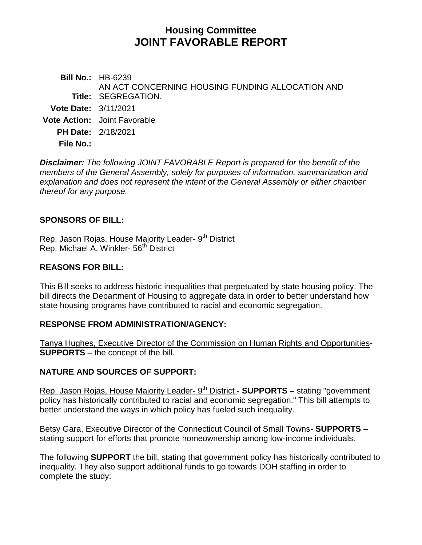# **Housing Committee JOINT FAVORABLE REPORT**

**Bill No.:** HB-6239 **Title:** SEGREGATION. AN ACT CONCERNING HOUSING FUNDING ALLOCATION AND **Vote Date:** 3/11/2021 **Vote Action:** Joint Favorable **PH Date:** 2/18/2021 **File No.:**

*Disclaimer: The following JOINT FAVORABLE Report is prepared for the benefit of the members of the General Assembly, solely for purposes of information, summarization and explanation and does not represent the intent of the General Assembly or either chamber thereof for any purpose.*

#### **SPONSORS OF BILL:**

Rep. Jason Rojas, House Majority Leader- 9<sup>th</sup> District Rep. Michael A. Winkler- 56<sup>th</sup> District

#### **REASONS FOR BILL:**

This Bill seeks to address historic inequalities that perpetuated by state housing policy. The bill directs the Department of Housing to aggregate data in order to better understand how state housing programs have contributed to racial and economic segregation.

#### **RESPONSE FROM ADMINISTRATION/AGENCY:**

Tanya Hughes, Executive Director of the Commission on Human Rights and Opportunities-**SUPPORTS** – the concept of the bill.

### **NATURE AND SOURCES OF SUPPORT:**

Rep. Jason Rojas, House Majority Leader- 9<sup>th</sup> District - **SUPPORTS** – stating "government policy has historically contributed to racial and economic segregation." This bill attempts to better understand the ways in which policy has fueled such inequality.

Betsy Gara, Executive Director of the Connecticut Council of Small Towns- **SUPPORTS** – stating support for efforts that promote homeownership among low-income individuals.

The following **SUPPORT** the bill, stating that government policy has historically contributed to inequality. They also support additional funds to go towards DOH staffing in order to complete the study: